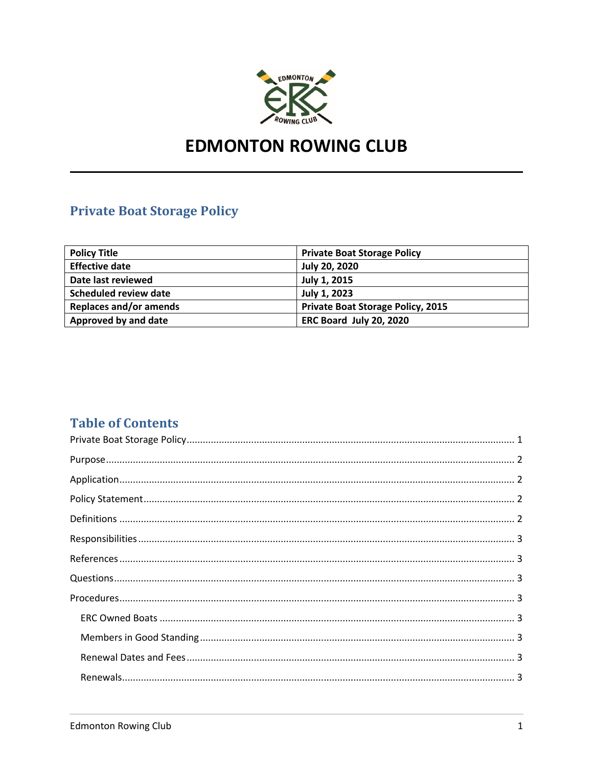

# **EDMONTON ROWING CLUB**

# **Private Boat Storage Policy**

| <b>Policy Title</b>           | <b>Private Boat Storage Policy</b>       |
|-------------------------------|------------------------------------------|
| <b>Effective date</b>         | <b>July 20, 2020</b>                     |
| Date last reviewed            | July 1, 2015                             |
| Scheduled review date         | July 1, 2023                             |
| <b>Replaces and/or amends</b> | <b>Private Boat Storage Policy, 2015</b> |
| Approved by and date          | ERC Board July 20, 2020                  |

# **Table of Contents**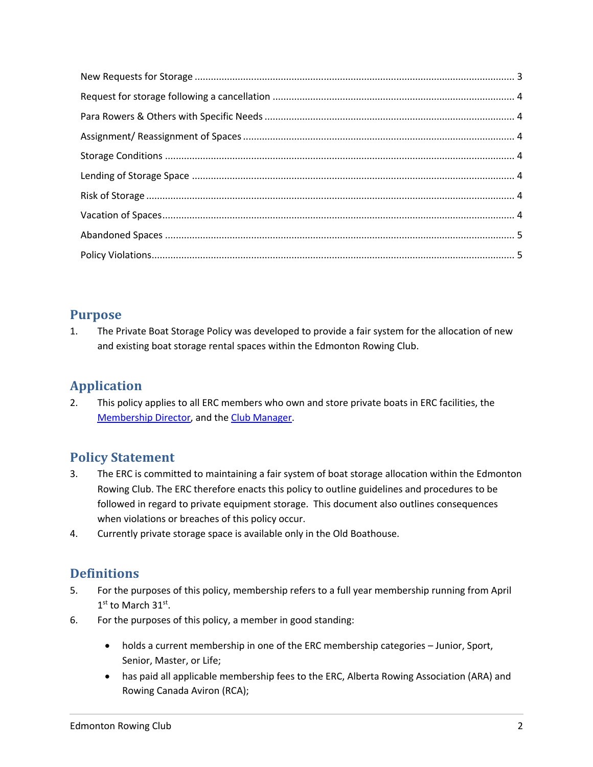# **Purpose**

1. The Private Boat Storage Policy was developed to provide a fair system for the allocation of new and existing boat storage rental spaces within the Edmonton Rowing Club.

# **Application**

2. This policy applies to all ERC members who own and store private boats in ERC facilities, the Membership Director, and the Club Manager.

# **Policy Statement**

- 3. The ERC is committed to maintaining a fair system of boat storage allocation within the Edmonton Rowing Club. The ERC therefore enacts this policy to outline guidelines and procedures to be followed in regard to private equipment storage. This document also outlines consequences when violations or breaches of this policy occur.
- 4. Currently private storage space is available only in the Old Boathouse.

# **Definitions**

- 5. For the purposes of this policy, membership refers to a full year membership running from April 1<sup>st</sup> to March 31<sup>st</sup>.
- 6. For the purposes of this policy, a member in good standing:
	- holds a current membership in one of the ERC membership categories Junior, Sport, Senior, Master, or Life;
	- has paid all applicable membership fees to the ERC, Alberta Rowing Association (ARA) and Rowing Canada Aviron (RCA);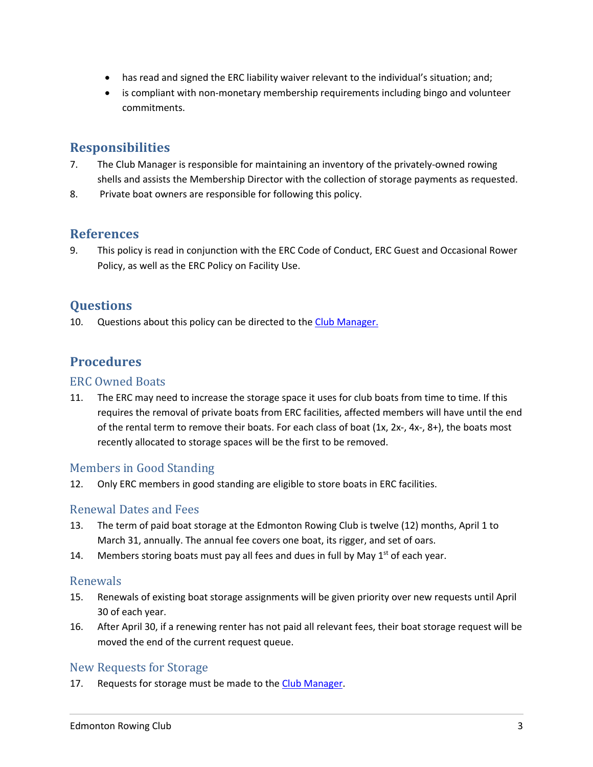- has read and signed the ERC liability waiver relevant to the individual's situation; and;
- is compliant with non-monetary membership requirements including bingo and volunteer commitments.

# **Responsibilities**

- 7. The Club Manager is responsible for maintaining an inventory of the privately-owned rowing shells and assists the Membership Director with the collection of storage payments as requested.
- 8. Private boat owners are responsible for following this policy.

#### **References**

9. This policy is read in conjunction with the ERC Code of Conduct, ERC Guest and Occasional Rower Policy, as well as the ERC Policy on Facility Use.

# **Questions**

10. Questions about this policy can be directed to the Club Manager.

### **Procedures**

#### **ERC Owned Boats**

11. The ERC may need to increase the storage space it uses for club boats from time to time. If this requires the removal of private boats from ERC facilities, affected members will have until the end of the rental term to remove their boats. For each class of boat (1x, 2x-, 4x-, 8+), the boats most recently allocated to storage spaces will be the first to be removed.

#### Members in Good Standing

12. Only ERC members in good standing are eligible to store boats in ERC facilities.

#### Renewal Dates and Fees

- 13. The term of paid boat storage at the Edmonton Rowing Club is twelve (12) months, April 1 to March 31, annually. The annual fee covers one boat, its rigger, and set of oars.
- 14. Members storing boats must pay all fees and dues in full by May  $1<sup>st</sup>$  of each year.

#### Renewals

- 15. Renewals of existing boat storage assignments will be given priority over new requests until April 30 of each year.
- 16. After April 30, if a renewing renter has not paid all relevant fees, their boat storage request will be moved the end of the current request queue.

#### New Requests for Storage

17. Requests for storage must be made to the Club Manager.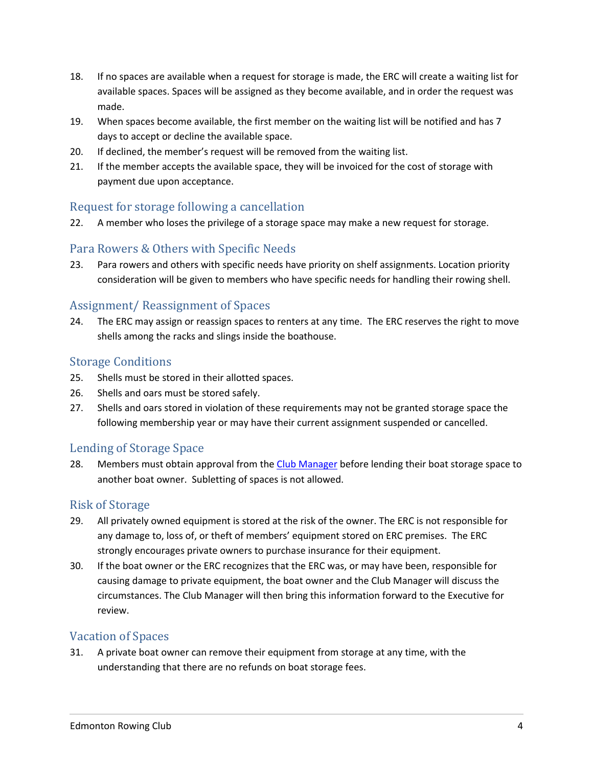- 18. If no spaces are available when a request for storage is made, the ERC will create a waiting list for available spaces. Spaces will be assigned as they become available, and in order the request was made.
- 19. When spaces become available, the first member on the waiting list will be notified and has 7 days to accept or decline the available space.
- 20. If declined, the member's request will be removed from the waiting list.
- 21. If the member accepts the available space, they will be invoiced for the cost of storage with payment due upon acceptance.

#### Request for storage following a cancellation

22. A member who loses the privilege of a storage space may make a new request for storage.

#### Para Rowers & Others with Specific Needs

23. Para rowers and others with specific needs have priority on shelf assignments. Location priority consideration will be given to members who have specific needs for handling their rowing shell.

#### Assignment/ Reassignment of Spaces

24. The ERC may assign or reassign spaces to renters at any time. The ERC reserves the right to move shells among the racks and slings inside the boathouse.

#### **Storage Conditions**

- 25. Shells must be stored in their allotted spaces.
- 26. Shells and oars must be stored safely.
- 27. Shells and oars stored in violation of these requirements may not be granted storage space the following membership year or may have their current assignment suspended or cancelled.

#### Lending of Storage Space

28. Members must obtain approval from the Club Manager before lending their boat storage space to another boat owner. Subletting of spaces is not allowed.

#### **Risk of Storage**

- 29. All privately owned equipment is stored at the risk of the owner. The ERC is not responsible for any damage to, loss of, or theft of members' equipment stored on ERC premises. The ERC strongly encourages private owners to purchase insurance for their equipment.
- 30. If the boat owner or the ERC recognizes that the ERC was, or may have been, responsible for causing damage to private equipment, the boat owner and the Club Manager will discuss the circumstances. The Club Manager will then bring this information forward to the Executive for review.

#### **Vacation of Spaces**

31. A private boat owner can remove their equipment from storage at any time, with the understanding that there are no refunds on boat storage fees.